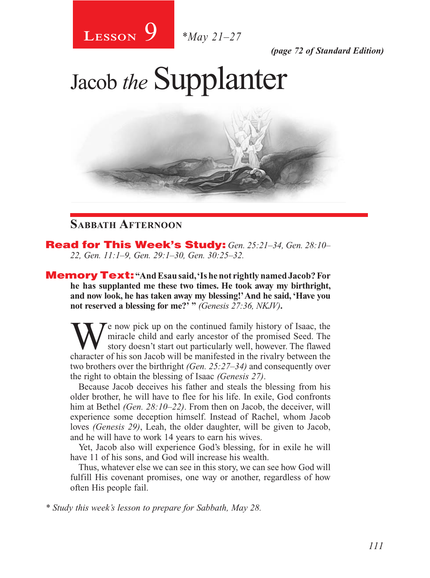

*(page 72 of Standard Edition)*

Jacob *the* Supplanter



# **Sabbath Afternoon**

Read for This Week's Study: *Gen. 25:21–34, Gen. 28:10– 22, Gen. 11:1–9, Gen. 29:1–30, Gen. 30:25–32.*

Memory Text: **"And Esau said, 'Is he not rightly named Jacob? For he has supplanted me these two times. He took away my birthright, and now look, he has taken away my blessing!' And he said, 'Have you not reserved a blessing for me?' "** *(Genesis 27:36, NKJV)***.**

Te now pick up on the continued family history of Isaac, the miracle child and early ancestor of the promised Seed. The story doesn't start out particularly well, however. The flawed character of his son Jacob will be manifested in the rivalry between the two brothers over the birthright *(Gen. 25:27–34)* and consequently over the right to obtain the blessing of Isaac *(Genesis 27)*.

Because Jacob deceives his father and steals the blessing from his older brother, he will have to flee for his life. In exile, God confronts him at Bethel *(Gen. 28:10–22)*. From then on Jacob, the deceiver, will experience some deception himself. Instead of Rachel, whom Jacob loves *(Genesis 29)*, Leah, the older daughter, will be given to Jacob, and he will have to work 14 years to earn his wives.

Yet, Jacob also will experience God's blessing, for in exile he will have 11 of his sons, and God will increase his wealth.

Thus, whatever else we can see in this story, we can see how God will fulfill His covenant promises, one way or another, regardless of how often His people fail.

*\* Study this week's lesson to prepare for Sabbath, May 28.*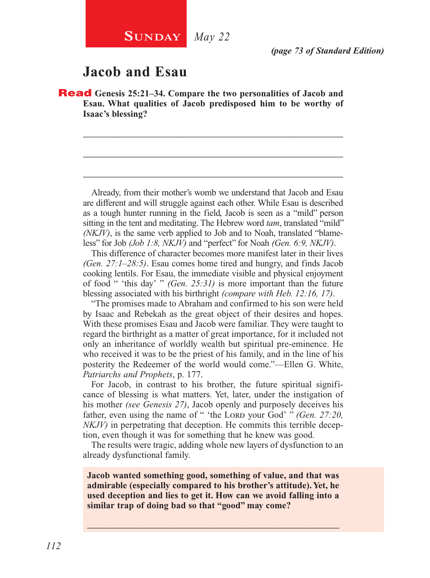# **Jacob and Esau**

Read **Genesis 25:21–34. Compare the two personalities of Jacob and Esau. What qualities of Jacob predisposed him to be worthy of Isaac's blessing?**

\_\_\_\_\_\_\_\_\_\_\_\_\_\_\_\_\_\_\_\_\_\_\_\_\_\_\_\_\_\_\_\_\_\_\_\_\_\_\_\_\_\_\_\_\_\_\_\_\_\_\_\_

\_\_\_\_\_\_\_\_\_\_\_\_\_\_\_\_\_\_\_\_\_\_\_\_\_\_\_\_\_\_\_\_\_\_\_\_\_\_\_\_\_\_\_\_\_\_\_\_\_\_\_\_

\_\_\_\_\_\_\_\_\_\_\_\_\_\_\_\_\_\_\_\_\_\_\_\_\_\_\_\_\_\_\_\_\_\_\_\_\_\_\_\_\_\_\_\_\_\_\_\_\_\_\_\_

Already, from their mother's womb we understand that Jacob and Esau are different and will struggle against each other. While Esau is described as a tough hunter running in the field, Jacob is seen as a "mild" person sitting in the tent and meditating. The Hebrew word *tam*, translated "mild" *(NKJV)*, is the same verb applied to Job and to Noah, translated "blameless" for Job *(Job 1:8, NKJV)* and "perfect" for Noah *(Gen. 6:9, NKJV)*.

This difference of character becomes more manifest later in their lives *(Gen. 27:1–28:5)*. Esau comes home tired and hungry, and finds Jacob cooking lentils. For Esau, the immediate visible and physical enjoyment of food " 'this day' " *(Gen. 25:31)* is more important than the future blessing associated with his birthright *(compare with Heb. 12:16, 17)*.

"The promises made to Abraham and confirmed to his son were held by Isaac and Rebekah as the great object of their desires and hopes. With these promises Esau and Jacob were familiar. They were taught to regard the birthright as a matter of great importance, for it included not only an inheritance of worldly wealth but spiritual pre-eminence. He who received it was to be the priest of his family, and in the line of his posterity the Redeemer of the world would come."—Ellen G. White, *Patriarchs and Prophets*, p. 177.

For Jacob, in contrast to his brother, the future spiritual significance of blessing is what matters. Yet, later, under the instigation of his mother *(see Genesis 27)*, Jacob openly and purposely deceives his father, even using the name of " 'the Lord your God' " *(Gen. 27:20, NKJV)* in perpetrating that deception. He commits this terrible deception, even though it was for something that he knew was good.

The results were tragic, adding whole new layers of dysfunction to an already dysfunctional family.

**Jacob wanted something good, something of value, and that was admirable (especially compared to his brother's attitude). Yet, he used deception and lies to get it. How can we avoid falling into a similar trap of doing bad so that "good" may come?**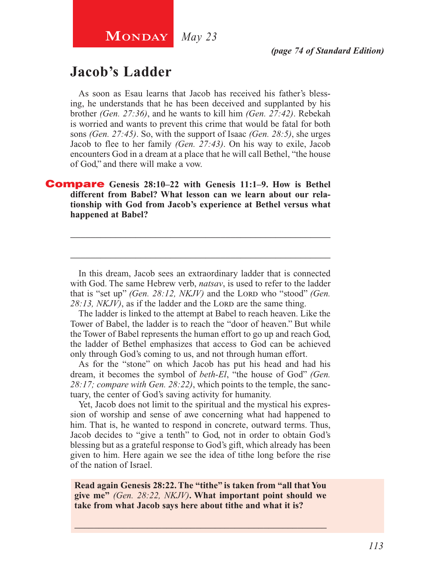**MONDAY** *May 23* 

# **Jacob's Ladder**

As soon as Esau learns that Jacob has received his father's blessing, he understands that he has been deceived and supplanted by his brother *(Gen. 27:36)*, and he wants to kill him *(Gen. 27:42)*. Rebekah is worried and wants to prevent this crime that would be fatal for both sons *(Gen. 27:45)*. So, with the support of Isaac *(Gen. 28:5)*, she urges Jacob to flee to her family *(Gen. 27:43)*. On his way to exile, Jacob encounters God in a dream at a place that he will call Bethel, "the house of God," and there will make a vow.

Compare **Genesis 28:10–22 with Genesis 11:1–9. How is Bethel different from Babel? What lesson can we learn about our relationship with God from Jacob's experience at Bethel versus what happened at Babel?**

In this dream, Jacob sees an extraordinary ladder that is connected with God. The same Hebrew verb, *natsav*, is used to refer to the ladder that is "set up" *(Gen. 28:12, NKJV)* and the Loro who "stood" *(Gen.* 28:13, *NKJV*), as if the ladder and the LORD are the same thing.

\_\_\_\_\_\_\_\_\_\_\_\_\_\_\_\_\_\_\_\_\_\_\_\_\_\_\_\_\_\_\_\_\_\_\_\_\_\_\_\_\_\_\_\_\_\_\_\_\_\_\_\_

\_\_\_\_\_\_\_\_\_\_\_\_\_\_\_\_\_\_\_\_\_\_\_\_\_\_\_\_\_\_\_\_\_\_\_\_\_\_\_\_\_\_\_\_\_\_\_\_\_\_\_\_

The ladder is linked to the attempt at Babel to reach heaven. Like the Tower of Babel, the ladder is to reach the "door of heaven." But while the Tower of Babel represents the human effort to go up and reach God, the ladder of Bethel emphasizes that access to God can be achieved only through God's coming to us, and not through human effort.

As for the "stone" on which Jacob has put his head and had his dream, it becomes the symbol of *beth-El*, "the house of God" *(Gen. 28:17; compare with Gen. 28:22)*, which points to the temple, the sanctuary, the center of God's saving activity for humanity.

Yet, Jacob does not limit to the spiritual and the mystical his expression of worship and sense of awe concerning what had happened to him. That is, he wanted to respond in concrete, outward terms. Thus, Jacob decides to "give a tenth" to God, not in order to obtain God's blessing but as a grateful response to God's gift, which already has been given to him. Here again we see the idea of tithe long before the rise of the nation of Israel.

**Read again Genesis 28:22. The "tithe" is taken from "all that You give me"** *(Gen. 28:22, NKJV)***. What important point should we take from what Jacob says here about tithe and what it is?**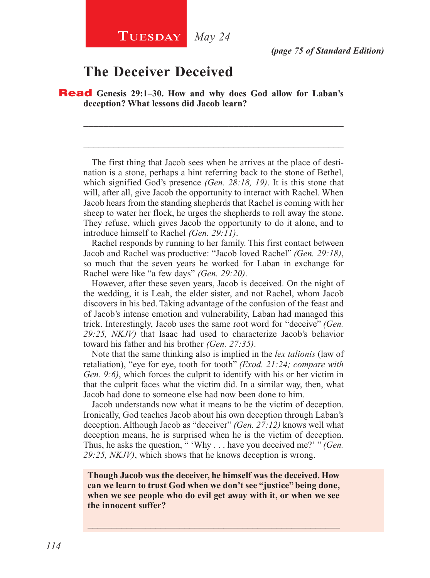# **The Deceiver Deceived**

Read **Genesis 29:1–30. How and why does God allow for Laban's deception? What lessons did Jacob learn?**

The first thing that Jacob sees when he arrives at the place of destination is a stone, perhaps a hint referring back to the stone of Bethel, which signified God's presence *(Gen. 28:18, 19)*. It is this stone that will, after all, give Jacob the opportunity to interact with Rachel. When Jacob hears from the standing shepherds that Rachel is coming with her sheep to water her flock, he urges the shepherds to roll away the stone. They refuse, which gives Jacob the opportunity to do it alone, and to introduce himself to Rachel *(Gen. 29:11)*.

\_\_\_\_\_\_\_\_\_\_\_\_\_\_\_\_\_\_\_\_\_\_\_\_\_\_\_\_\_\_\_\_\_\_\_\_\_\_\_\_\_\_\_\_\_\_\_\_\_\_\_\_

\_\_\_\_\_\_\_\_\_\_\_\_\_\_\_\_\_\_\_\_\_\_\_\_\_\_\_\_\_\_\_\_\_\_\_\_\_\_\_\_\_\_\_\_\_\_\_\_\_\_\_\_

Rachel responds by running to her family. This first contact between Jacob and Rachel was productive: "Jacob loved Rachel" *(Gen. 29:18)*, so much that the seven years he worked for Laban in exchange for Rachel were like "a few days" *(Gen. 29:20)*.

However, after these seven years, Jacob is deceived. On the night of the wedding, it is Leah, the elder sister, and not Rachel, whom Jacob discovers in his bed. Taking advantage of the confusion of the feast and of Jacob's intense emotion and vulnerability, Laban had managed this trick. Interestingly, Jacob uses the same root word for "deceive" *(Gen. 29:25, NKJV)* that Isaac had used to characterize Jacob's behavior toward his father and his brother *(Gen. 27:35)*.

Note that the same thinking also is implied in the *lex talionis* (law of retaliation), "eye for eye, tooth for tooth" *(Exod. 21:24; compare with Gen. 9:6)*, which forces the culprit to identify with his or her victim in that the culprit faces what the victim did. In a similar way, then, what Jacob had done to someone else had now been done to him.

Jacob understands now what it means to be the victim of deception. Ironically, God teaches Jacob about his own deception through Laban's deception. Although Jacob as "deceiver" *(Gen. 27:12)* knows well what deception means, he is surprised when he is the victim of deception. Thus, he asks the question, " 'Why . . . have you deceived me?' " *(Gen. 29:25, NKJV)*, which shows that he knows deception is wrong.

**Though Jacob was the deceiver, he himself was the deceived. How can we learn to trust God when we don't see "justice" being done, when we see people who do evil get away with it, or when we see the innocent suffer?**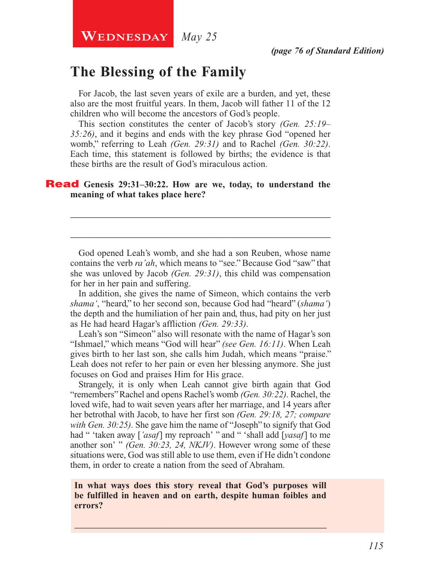**WEDNESDAY** May 25

# **The Blessing of the Family**

For Jacob, the last seven years of exile are a burden, and yet, these also are the most fruitful years. In them, Jacob will father 11 of the 12 children who will become the ancestors of God's people.

This section constitutes the center of Jacob's story *(Gen. 25:19– 35:26)*, and it begins and ends with the key phrase God "opened her womb," referring to Leah *(Gen. 29:31)* and to Rachel *(Gen. 30:22)*. Each time, this statement is followed by births; the evidence is that these births are the result of God's miraculous action.

#### Read **Genesis 29:31–30:22. How are we, today, to understand the meaning of what takes place here?**

God opened Leah's womb, and she had a son Reuben, whose name contains the verb *ra'ah*, which means to "see." Because God "saw" that she was unloved by Jacob *(Gen. 29:31)*, this child was compensation for her in her pain and suffering.

\_\_\_\_\_\_\_\_\_\_\_\_\_\_\_\_\_\_\_\_\_\_\_\_\_\_\_\_\_\_\_\_\_\_\_\_\_\_\_\_\_\_\_\_\_\_\_\_\_\_\_\_

\_\_\_\_\_\_\_\_\_\_\_\_\_\_\_\_\_\_\_\_\_\_\_\_\_\_\_\_\_\_\_\_\_\_\_\_\_\_\_\_\_\_\_\_\_\_\_\_\_\_\_\_

In addition, she gives the name of Simeon, which contains the verb *shama'*, "heard," to her second son, because God had "heard" (*shama'*) the depth and the humiliation of her pain and, thus, had pity on her just as He had heard Hagar's affliction *(Gen. 29:33)*.

Leah's son "Simeon" also will resonate with the name of Hagar's son "Ishmael," which means "God will hear" *(see Gen. 16:11)*. When Leah gives birth to her last son, she calls him Judah, which means "praise." Leah does not refer to her pain or even her blessing anymore. She just focuses on God and praises Him for His grace.

Strangely, it is only when Leah cannot give birth again that God "remembers" Rachel and opens Rachel's womb *(Gen. 30:22)*. Rachel, the loved wife, had to wait seven years after her marriage, and 14 years after her betrothal with Jacob, to have her first son *(Gen. 29:18, 27; compare with Gen. 30:25)*. She gave him the name of "Joseph" to signify that God had " 'taken away [*'asaf*] my reproach' " and " 'shall add [*yasaf*] to me another son' " *(Gen. 30:23, 24, NKJV)*. However wrong some of these situations were, God was still able to use them, even if He didn't condone them, in order to create a nation from the seed of Abraham.

**In what ways does this story reveal that God's purposes will be fulfilled in heaven and on earth, despite human foibles and errors?**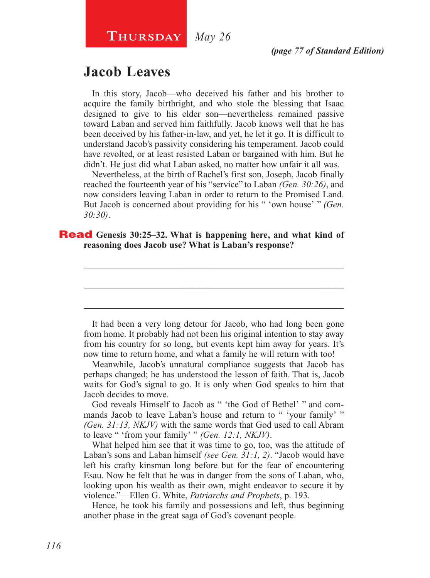# **Jacob Leaves**

In this story, Jacob—who deceived his father and his brother to acquire the family birthright, and who stole the blessing that Isaac designed to give to his elder son—nevertheless remained passive toward Laban and served him faithfully. Jacob knows well that he has been deceived by his father-in-law, and yet, he let it go. It is difficult to understand Jacob's passivity considering his temperament. Jacob could have revolted, or at least resisted Laban or bargained with him. But he didn't. He just did what Laban asked, no matter how unfair it all was.

Nevertheless, at the birth of Rachel's first son, Joseph, Jacob finally reached the fourteenth year of his "service" to Laban *(Gen. 30:26)*, and now considers leaving Laban in order to return to the Promised Land. But Jacob is concerned about providing for his " 'own house' " *(Gen. 30:30)*.

\_\_\_\_\_\_\_\_\_\_\_\_\_\_\_\_\_\_\_\_\_\_\_\_\_\_\_\_\_\_\_\_\_\_\_\_\_\_\_\_\_\_\_\_\_\_\_\_\_\_\_\_

\_\_\_\_\_\_\_\_\_\_\_\_\_\_\_\_\_\_\_\_\_\_\_\_\_\_\_\_\_\_\_\_\_\_\_\_\_\_\_\_\_\_\_\_\_\_\_\_\_\_\_\_

\_\_\_\_\_\_\_\_\_\_\_\_\_\_\_\_\_\_\_\_\_\_\_\_\_\_\_\_\_\_\_\_\_\_\_\_\_\_\_\_\_\_\_\_\_\_\_\_\_\_\_\_

#### Read **Genesis 30:25–32. What is happening here, and what kind of reasoning does Jacob use? What is Laban's response?**

It had been a very long detour for Jacob, who had long been gone from home. It probably had not been his original intention to stay away from his country for so long, but events kept him away for years. It's now time to return home, and what a family he will return with too!

Meanwhile, Jacob's unnatural compliance suggests that Jacob has perhaps changed; he has understood the lesson of faith. That is, Jacob waits for God's signal to go. It is only when God speaks to him that Jacob decides to move.

God reveals Himself to Jacob as " 'the God of Bethel' " and commands Jacob to leave Laban's house and return to " 'your family' " *(Gen. 31:13, NKJV)* with the same words that God used to call Abram to leave " 'from your family' " *(Gen. 12:1, NKJV)*.

What helped him see that it was time to go, too, was the attitude of Laban's sons and Laban himself *(see Gen. 31:1, 2)*. "Jacob would have left his crafty kinsman long before but for the fear of encountering Esau. Now he felt that he was in danger from the sons of Laban, who, looking upon his wealth as their own, might endeavor to secure it by violence."—Ellen G. White, *Patriarchs and Prophets*, p. 193.

Hence, he took his family and possessions and left, thus beginning another phase in the great saga of God's covenant people.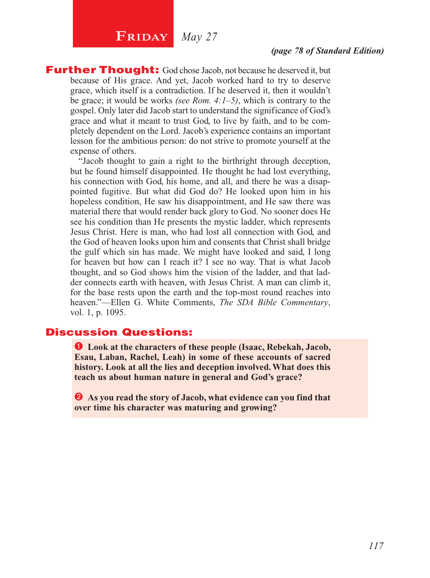# **FRIDAY** *May 27*

#### *(page 78 of Standard Edition)*

**Further Thought:** God chose Jacob, not because he deserved it, but because of His grace. And yet, Jacob worked hard to try to deserve grace, which itself is a contradiction. If he deserved it, then it wouldn't be grace; it would be works *(see Rom. 4:1–5)*, which is contrary to the gospel. Only later did Jacob start to understand the significance of God's grace and what it meant to trust God, to live by faith, and to be completely dependent on the Lord. Jacob's experience contains an important lesson for the ambitious person: do not strive to promote yourself at the expense of others.

"Jacob thought to gain a right to the birthright through deception, but he found himself disappointed. He thought he had lost everything, his connection with God, his home, and all, and there he was a disappointed fugitive. But what did God do? He looked upon him in his hopeless condition, He saw his disappointment, and He saw there was material there that would render back glory to God. No sooner does He see his condition than He presents the mystic ladder, which represents Jesus Christ. Here is man, who had lost all connection with God, and the God of heaven looks upon him and consents that Christ shall bridge the gulf which sin has made. We might have looked and said, I long for heaven but how can I reach it? I see no way. That is what Jacob thought, and so God shows him the vision of the ladder, and that ladder connects earth with heaven, with Jesus Christ. A man can climb it, for the base rests upon the earth and the top-most round reaches into heaven."—Ellen G. White Comments, *The SDA Bible Commentary*, vol. 1, p. 1095.

#### Discussion Questions:

 **Look at the characters of these people (Isaac, Rebekah, Jacob, Esau, Laban, Rachel, Leah) in some of these accounts of sacred history. Look at all the lies and deception involved. What does this teach us about human nature in general and God's grace?**

 **As you read the story of Jacob, what evidence can you find that over time his character was maturing and growing?**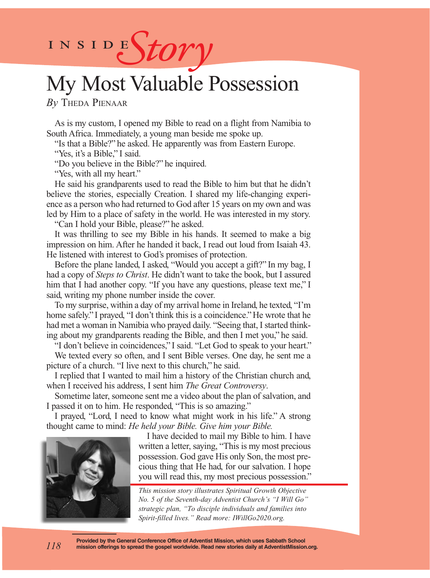# INSIDEStory

# My Most Valuable Possession

*By* Theda Pienaar

As is my custom, I opened my Bible to read on a flight from Namibia to South Africa. Immediately, a young man beside me spoke up.

"Is that a Bible?" he asked. He apparently was from Eastern Europe.

"Yes, it's a Bible," I said.

"Do you believe in the Bible?" he inquired.

"Yes, with all my heart."

He said his grandparents used to read the Bible to him but that he didn't believe the stories, especially Creation. I shared my life-changing experience as a person who had returned to God after 15 years on my own and was led by Him to a place of safety in the world. He was interested in my story. "Can I hold your Bible, please?" he asked.

It was thrilling to see my Bible in his hands. It seemed to make a big impression on him. After he handed it back, I read out loud from Isaiah 43. He listened with interest to God's promises of protection.

Before the plane landed, I asked, "Would you accept a gift?" In my bag, I had a copy of *Steps to Christ*. He didn't want to take the book, but I assured him that I had another copy. "If you have any questions, please text me," I said, writing my phone number inside the cover.

To my surprise, within a day of my arrival home in Ireland, he texted, "I'm home safely." I prayed, "I don't think this is a coincidence." He wrote that he had met a woman in Namibia who prayed daily. "Seeing that, I started thinking about my grandparents reading the Bible, and then I met you," he said.

"I don't believe in coincidences," I said. "Let God to speak to your heart."

We texted every so often, and I sent Bible verses. One day, he sent me a picture of a church. "I live next to this church," he said.

I replied that I wanted to mail him a history of the Christian church and, when I received his address, I sent him *The Great Controversy*.

Sometime later, someone sent me a video about the plan of salvation, and I passed it on to him. He responded, "This is so amazing."

I prayed, "Lord, I need to know what might work in his life." A strong thought came to mind: *He held your Bible. Give him your Bible.*

> I have decided to mail my Bible to him. I have written a letter, saying, "This is my most precious possession. God gave His only Son, the most precious thing that He had, for our salvation. I hope you will read this, my most precious possession."

*This mission story illustrates Spiritual Growth Objective No. 5 of the Seventh-day Adventist Church's "I Will Go" strategic plan, "To disciple individuals and families into Spirit-filled lives." Read more: IWillGo2020.org.*



*118*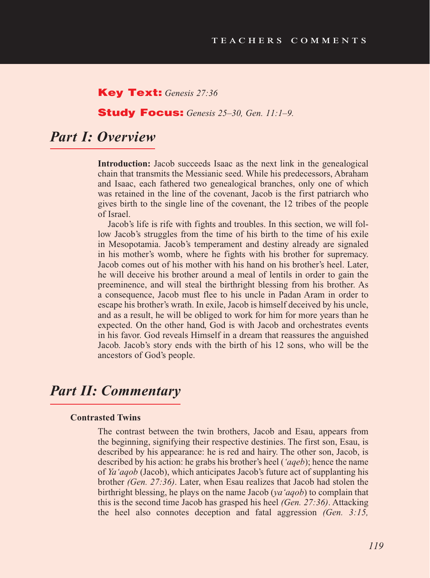#### Key Text: *Genesis 27:36*

#### Study Focus: *Genesis 25–30, Gen. 11:1–9.*

# *Part I: Overview*

**Introduction:** Jacob succeeds Isaac as the next link in the genealogical chain that transmits the Messianic seed. While his predecessors, Abraham and Isaac, each fathered two genealogical branches, only one of which was retained in the line of the covenant, Jacob is the first patriarch who gives birth to the single line of the covenant, the 12 tribes of the people of Israel.

Jacob's life is rife with fights and troubles. In this section, we will follow Jacob's struggles from the time of his birth to the time of his exile in Mesopotamia. Jacob's temperament and destiny already are signaled in his mother's womb, where he fights with his brother for supremacy. Jacob comes out of his mother with his hand on his brother's heel. Later, he will deceive his brother around a meal of lentils in order to gain the preeminence, and will steal the birthright blessing from his brother. As a consequence, Jacob must flee to his uncle in Padan Aram in order to escape his brother's wrath. In exile, Jacob is himself deceived by his uncle, and as a result, he will be obliged to work for him for more years than he expected. On the other hand, God is with Jacob and orchestrates events in his favor. God reveals Himself in a dream that reassures the anguished Jacob. Jacob's story ends with the birth of his 12 sons, who will be the ancestors of God's people.

### *Part II: Commentary*

#### **Contrasted Twins**

The contrast between the twin brothers, Jacob and Esau, appears from the beginning, signifying their respective destinies. The first son, Esau, is described by his appearance: he is red and hairy. The other son, Jacob, is described by his action: he grabs his brother's heel (*'aqeb*); hence the name of *Ya'aqob* (Jacob), which anticipates Jacob's future act of supplanting his brother *(Gen. 27:36)*. Later, when Esau realizes that Jacob had stolen the birthright blessing, he plays on the name Jacob (*ya'aqob*) to complain that this is the second time Jacob has grasped his heel *(Gen. 27:36)*. Attacking the heel also connotes deception and fatal aggression *(Gen. 3:15,*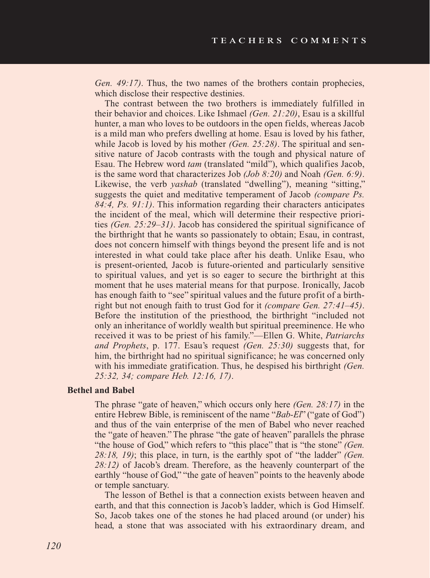*Gen. 49:17)*. Thus, the two names of the brothers contain prophecies, which disclose their respective destinies.

The contrast between the two brothers is immediately fulfilled in their behavior and choices. Like Ishmael *(Gen. 21:20)*, Esau is a skillful hunter, a man who loves to be outdoors in the open fields, whereas Jacob is a mild man who prefers dwelling at home. Esau is loved by his father, while Jacob is loved by his mother *(Gen. 25:28)*. The spiritual and sensitive nature of Jacob contrasts with the tough and physical nature of Esau. The Hebrew word *tam* (translated "mild"), which qualifies Jacob, is the same word that characterizes Job *(Job 8:20)* and Noah *(Gen. 6:9)*. Likewise, the verb *yashab* (translated "dwelling"), meaning "sitting," suggests the quiet and meditative temperament of Jacob *(compare Ps. 84:4, Ps. 91:1)*. This information regarding their characters anticipates the incident of the meal, which will determine their respective priorities *(Gen. 25:29–31)*. Jacob has considered the spiritual significance of the birthright that he wants so passionately to obtain; Esau, in contrast, does not concern himself with things beyond the present life and is not interested in what could take place after his death. Unlike Esau, who is present-oriented, Jacob is future-oriented and particularly sensitive to spiritual values, and yet is so eager to secure the birthright at this moment that he uses material means for that purpose. Ironically, Jacob has enough faith to "see" spiritual values and the future profit of a birthright but not enough faith to trust God for it *(compare Gen. 27:41–45)*. Before the institution of the priesthood, the birthright "included not only an inheritance of worldly wealth but spiritual preeminence. He who received it was to be priest of his family."—Ellen G. White, *Patriarchs and Prophets*, p. 177. Esau's request *(Gen. 25:30)* suggests that, for him, the birthright had no spiritual significance; he was concerned only with his immediate gratification. Thus, he despised his birthright *(Gen. 25:32, 34; compare Heb. 12:16, 17)*.

#### **Bethel and Babel**

The phrase "gate of heaven," which occurs only here *(Gen. 28:17)* in the entire Hebrew Bible, is reminiscent of the name "*Bab-El*" ("gate of God") and thus of the vain enterprise of the men of Babel who never reached the "gate of heaven." The phrase "the gate of heaven" parallels the phrase "the house of God," which refers to "this place" that is "the stone" *(Gen. 28:18, 19)*; this place, in turn, is the earthly spot of "the ladder" *(Gen. 28:12)* of Jacob's dream. Therefore, as the heavenly counterpart of the earthly "house of God," "the gate of heaven" points to the heavenly abode or temple sanctuary.

The lesson of Bethel is that a connection exists between heaven and earth, and that this connection is Jacob's ladder, which is God Himself. So, Jacob takes one of the stones he had placed around (or under) his head, a stone that was associated with his extraordinary dream, and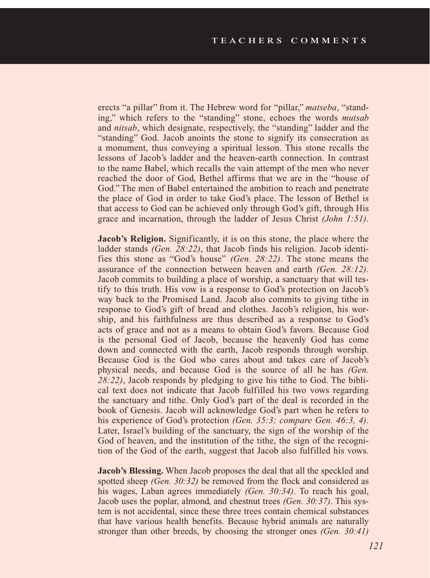erects "a pillar" from it. The Hebrew word for "pillar," *matseba*, "standing," which refers to the "standing" stone, echoes the words *mutsab*  and *nitsab*, which designate, respectively, the "standing" ladder and the "standing" God. Jacob anoints the stone to signify its consecration as a monument, thus conveying a spiritual lesson. This stone recalls the lessons of Jacob's ladder and the heaven-earth connection. In contrast to the name Babel, which recalls the vain attempt of the men who never reached the door of God, Bethel affirms that we are in the "house of God." The men of Babel entertained the ambition to reach and penetrate the place of God in order to take God's place. The lesson of Bethel is that access to God can be achieved only through God's gift, through His grace and incarnation, through the ladder of Jesus Christ *(John 1:51)*.

**Jacob's Religion.** Significantly, it is on this stone, the place where the ladder stands *(Gen. 28:22)*, that Jacob finds his religion. Jacob identifies this stone as "God's house" *(Gen. 28:22)*. The stone means the assurance of the connection between heaven and earth *(Gen. 28:12)*. Jacob commits to building a place of worship, a sanctuary that will testify to this truth. His vow is a response to God's protection on Jacob's way back to the Promised Land. Jacob also commits to giving tithe in response to God's gift of bread and clothes. Jacob's religion, his worship, and his faithfulness are thus described as a response to God's acts of grace and not as a means to obtain God's favors. Because God is the personal God of Jacob, because the heavenly God has come down and connected with the earth, Jacob responds through worship. Because God is the God who cares about and takes care of Jacob's physical needs, and because God is the source of all he has *(Gen. 28:22)*, Jacob responds by pledging to give his tithe to God. The biblical text does not indicate that Jacob fulfilled his two vows regarding the sanctuary and tithe. Only God's part of the deal is recorded in the book of Genesis. Jacob will acknowledge God's part when he refers to his experience of God's protection *(Gen. 35:3; compare Gen. 46:3, 4)*. Later, Israel's building of the sanctuary, the sign of the worship of the God of heaven, and the institution of the tithe, the sign of the recognition of the God of the earth, suggest that Jacob also fulfilled his vows.

**Jacob's Blessing.** When Jacob proposes the deal that all the speckled and spotted sheep *(Gen. 30:32)* be removed from the flock and considered as his wages, Laban agrees immediately *(Gen. 30:34)*. To reach his goal, Jacob uses the poplar, almond, and chestnut trees *(Gen. 30:37)*. This system is not accidental, since these three trees contain chemical substances that have various health benefits. Because hybrid animals are naturally stronger than other breeds, by choosing the stronger ones *(Gen. 30:41)*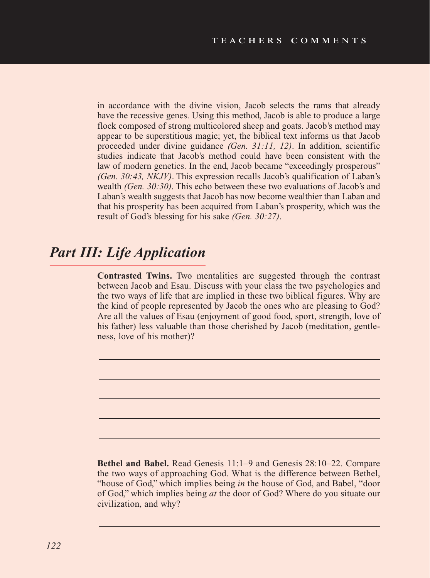in accordance with the divine vision, Jacob selects the rams that already have the recessive genes. Using this method, Jacob is able to produce a large flock composed of strong multicolored sheep and goats. Jacob's method may appear to be superstitious magic; yet, the biblical text informs us that Jacob proceeded under divine guidance *(Gen. 31:11, 12)*. In addition, scientific studies indicate that Jacob's method could have been consistent with the law of modern genetics. In the end, Jacob became "exceedingly prosperous" *(Gen. 30:43, NKJV)*. This expression recalls Jacob's qualification of Laban's wealth *(Gen. 30:30)*. This echo between these two evaluations of Jacob's and Laban's wealth suggests that Jacob has now become wealthier than Laban and that his prosperity has been acquired from Laban's prosperity, which was the result of God's blessing for his sake *(Gen. 30:27)*.

# *Part III: Life Application*

**Contrasted Twins.** Two mentalities are suggested through the contrast between Jacob and Esau. Discuss with your class the two psychologies and the two ways of life that are implied in these two biblical figures. Why are the kind of people represented by Jacob the ones who are pleasing to God? Are all the values of Esau (enjoyment of good food, sport, strength, love of his father) less valuable than those cherished by Jacob (meditation, gentleness, love of his mother)?

**Bethel and Babel.** Read Genesis 11:1–9 and Genesis 28:10–22. Compare the two ways of approaching God. What is the difference between Bethel, "house of God," which implies being *in* the house of God, and Babel, "door of God," which implies being *at* the door of God? Where do you situate our civilization, and why?